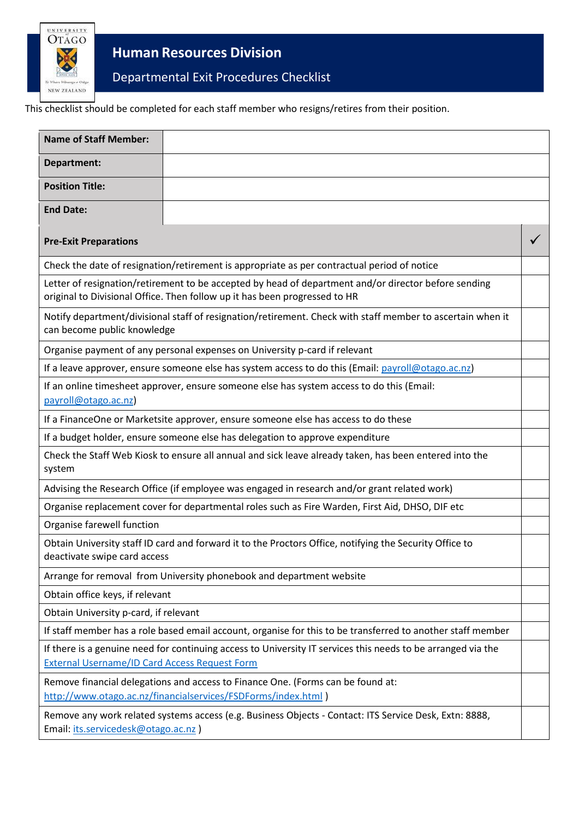

**Human Resources Division**

Departmental Exit Procedures Checklist

This checklist should be completed for each staff member who resigns/retires from their position.

| <b>Name of Staff Member:</b>                                                                                                                                                       |  |  |
|------------------------------------------------------------------------------------------------------------------------------------------------------------------------------------|--|--|
| Department:                                                                                                                                                                        |  |  |
| <b>Position Title:</b>                                                                                                                                                             |  |  |
| <b>End Date:</b>                                                                                                                                                                   |  |  |
| <b>Pre-Exit Preparations</b>                                                                                                                                                       |  |  |
| Check the date of resignation/retirement is appropriate as per contractual period of notice                                                                                        |  |  |
| Letter of resignation/retirement to be accepted by head of department and/or director before sending<br>original to Divisional Office. Then follow up it has been progressed to HR |  |  |
| Notify department/divisional staff of resignation/retirement. Check with staff member to ascertain when it<br>can become public knowledge                                          |  |  |
| Organise payment of any personal expenses on University p-card if relevant                                                                                                         |  |  |
| If a leave approver, ensure someone else has system access to do this (Email: payroll@otago.ac.nz)                                                                                 |  |  |
| If an online timesheet approver, ensure someone else has system access to do this (Email:<br>payroll@otago.ac.nz)                                                                  |  |  |
| If a FinanceOne or Marketsite approver, ensure someone else has access to do these                                                                                                 |  |  |
| If a budget holder, ensure someone else has delegation to approve expenditure                                                                                                      |  |  |
| Check the Staff Web Kiosk to ensure all annual and sick leave already taken, has been entered into the<br>system                                                                   |  |  |
| Advising the Research Office (if employee was engaged in research and/or grant related work)                                                                                       |  |  |
| Organise replacement cover for departmental roles such as Fire Warden, First Aid, DHSO, DIF etc                                                                                    |  |  |
| Organise farewell function                                                                                                                                                         |  |  |
| Obtain University staff ID card and forward it to the Proctors Office, notifying the Security Office to<br>deactivate swipe card access                                            |  |  |
| Arrange for removal from University phonebook and department website                                                                                                               |  |  |
| Obtain office keys, if relevant                                                                                                                                                    |  |  |
| Obtain University p-card, if relevant                                                                                                                                              |  |  |
| If staff member has a role based email account, organise for this to be transferred to another staff member                                                                        |  |  |
| If there is a genuine need for continuing access to University IT services this needs to be arranged via the<br><b>External Username/ID Card Access Request Form</b>               |  |  |
| Remove financial delegations and access to Finance One. (Forms can be found at:<br>http://www.otago.ac.nz/financialservices/FSDForms/index.html )                                  |  |  |
| Remove any work related systems access (e.g. Business Objects - Contact: ITS Service Desk, Extn: 8888,<br>Email: its.servicedesk@otago.ac.nz )                                     |  |  |